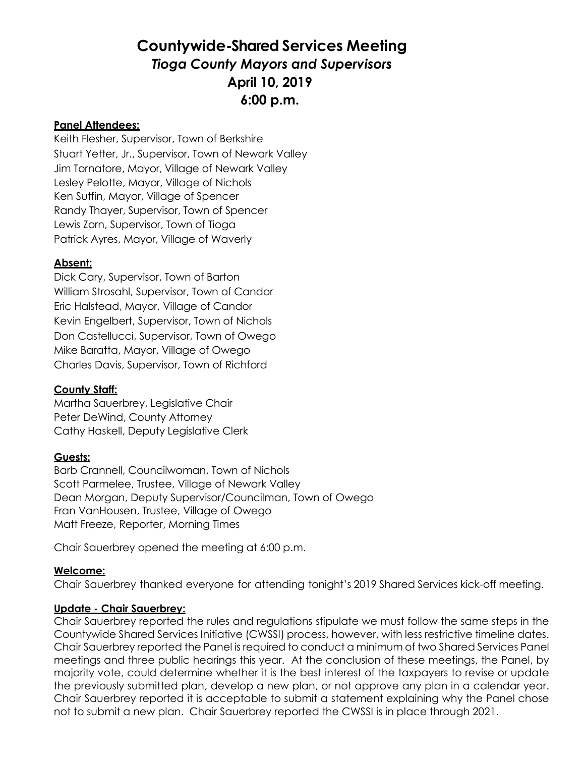# **Countywide-Shared Services Meeting** *Tioga County Mayors and Supervisors* **April 10, 2019 6:00 p.m.**

#### **Panel Attendees:**

Keith Flesher, Supervisor, Town of Berkshire Stuart Yetter, Jr., Supervisor, Town of Newark Valley Jim Tornatore, Mayor, Village of Newark Valley Lesley Pelotte, Mayor, Village of Nichols Ken Sutfin, Mayor, Village of Spencer Randy Thayer, Supervisor, Town of Spencer Lewis Zorn, Supervisor, Town of Tioga Patrick Ayres, Mayor, Village of Waverly

## **Absent:**

Dick Cary, Supervisor, Town of Barton William Strosahl, Supervisor, Town of Candor Eric Halstead, Mayor, Village of Candor Kevin Engelbert, Supervisor, Town of Nichols Don Castellucci, Supervisor, Town of Owego Mike Baratta, Mayor, Village of Owego Charles Davis, Supervisor, Town of Richford

### **County Staff:**

Martha Sauerbrey, Legislative Chair Peter DeWind, County Attorney Cathy Haskell, Deputy Legislative Clerk

### **Guests:**

Barb Crannell, Councilwoman, Town of Nichols Scott Parmelee, Trustee, Village of Newark Valley Dean Morgan, Deputy Supervisor/Councilman, Town of Owego Fran VanHousen, Trustee, Village of Owego Matt Freeze, Reporter, Morning Times

Chair Sauerbrey opened the meeting at 6:00 p.m.

### **Welcome:**

Chair Sauerbrey thanked everyone for attending tonight's 2019 Shared Services kick-off meeting.

### **Update - Chair Sauerbrey:**

Chair Sauerbrey reported the rules and regulations stipulate we must follow the same steps in the Countywide Shared Services Initiative (CWSSI) process, however, with less restrictive timeline dates. Chair Sauerbrey reported the Panel is required to conduct a minimum of two Shared Services Panel meetings and three public hearings this year. At the conclusion of these meetings, the Panel, by majority vote, could determine whether it is the best interest of the taxpayers to revise or update the previously submitted plan, develop a new plan, or not approve any plan in a calendar year. Chair Sauerbrey reported it is acceptable to submit a statement explaining why the Panel chose not to submit a new plan. Chair Sauerbrey reported the CWSSI is in place through 2021.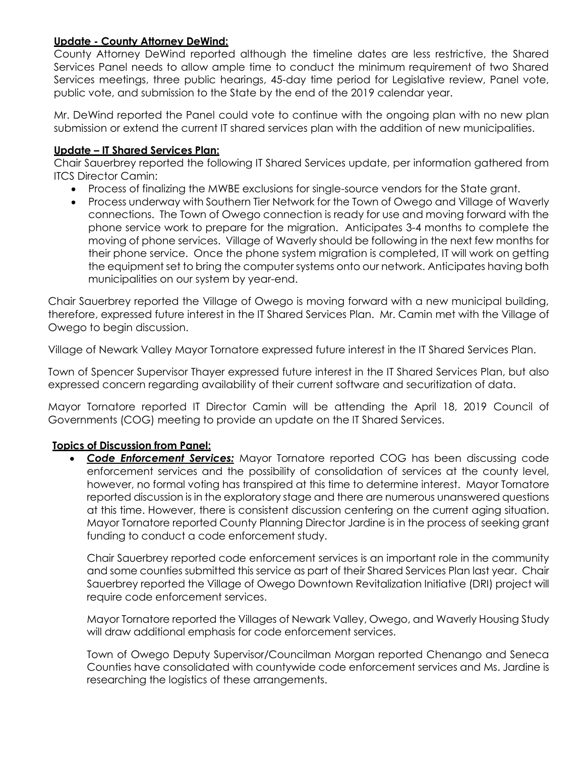## **Update - County Attorney DeWind:**

County Attorney DeWind reported although the timeline dates are less restrictive, the Shared Services Panel needs to allow ample time to conduct the minimum requirement of two Shared Services meetings, three public hearings, 45-day time period for Legislative review, Panel vote, public vote, and submission to the State by the end of the 2019 calendar year.

Mr. DeWind reported the Panel could vote to continue with the ongoing plan with no new plan submission or extend the current IT shared services plan with the addition of new municipalities.

#### **Update – IT Shared Services Plan:**

Chair Sauerbrey reported the following IT Shared Services update, per information gathered from ITCS Director Camin:

- Process of finalizing the MWBE exclusions for single-source vendors for the State grant.
- Process underway with Southern Tier Network for the Town of Owego and Village of Waverly connections. The Town of Owego connection is ready for use and moving forward with the phone service work to prepare for the migration. Anticipates 3-4 months to complete the moving of phone services. Village of Waverly should be following in the next few months for their phone service. Once the phone system migration is completed, IT will work on getting the equipment set to bring the computer systems onto our network. Anticipates having both municipalities on our system by year-end.

Chair Sauerbrey reported the Village of Owego is moving forward with a new municipal building, therefore, expressed future interest in the IT Shared Services Plan. Mr. Camin met with the Village of Owego to begin discussion.

Village of Newark Valley Mayor Tornatore expressed future interest in the IT Shared Services Plan.

Town of Spencer Supervisor Thayer expressed future interest in the IT Shared Services Plan, but also expressed concern regarding availability of their current software and securitization of data.

Mayor Tornatore reported IT Director Camin will be attending the April 18, 2019 Council of Governments (COG) meeting to provide an update on the IT Shared Services.

### **Topics of Discussion from Panel:**

 *Code Enforcement Services:* Mayor Tornatore reported COG has been discussing code enforcement services and the possibility of consolidation of services at the county level, however, no formal voting has transpired at this time to determine interest. Mayor Tornatore reported discussion is in the exploratory stage and there are numerous unanswered questions at this time. However, there is consistent discussion centering on the current aging situation. Mayor Tornatore reported County Planning Director Jardine is in the process of seeking grant funding to conduct a code enforcement study.

Chair Sauerbrey reported code enforcement services is an important role in the community and some counties submitted this service as part of their Shared Services Plan last year. Chair Sauerbrey reported the Village of Owego Downtown Revitalization Initiative (DRI) project will require code enforcement services.

Mayor Tornatore reported the Villages of Newark Valley, Owego, and Waverly Housing Study will draw additional emphasis for code enforcement services.

Town of Owego Deputy Supervisor/Councilman Morgan reported Chenango and Seneca Counties have consolidated with countywide code enforcement services and Ms. Jardine is researching the logistics of these arrangements.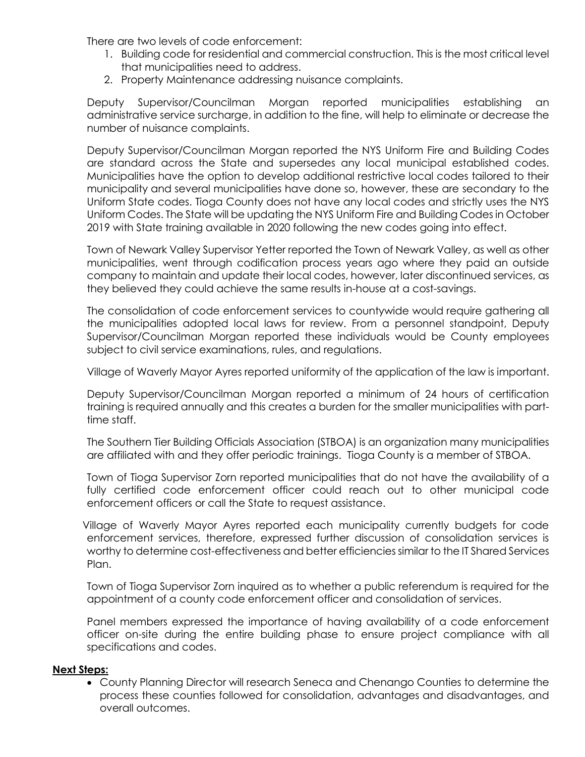There are two levels of code enforcement:

- 1. Building code for residential and commercial construction. This is the most critical level that municipalities need to address.
- 2. Property Maintenance addressing nuisance complaints.

Deputy Supervisor/Councilman Morgan reported municipalities establishing an administrative service surcharge, in addition to the fine, will help to eliminate or decrease the number of nuisance complaints.

Deputy Supervisor/Councilman Morgan reported the NYS Uniform Fire and Building Codes are standard across the State and supersedes any local municipal established codes. Municipalities have the option to develop additional restrictive local codes tailored to their municipality and several municipalities have done so, however, these are secondary to the Uniform State codes. Tioga County does not have any local codes and strictly uses the NYS Uniform Codes. The State will be updating the NYS Uniform Fire and Building Codes in October 2019 with State training available in 2020 following the new codes going into effect.

Town of Newark Valley Supervisor Yetter reported the Town of Newark Valley, as well as other municipalities, went through codification process years ago where they paid an outside company to maintain and update their local codes, however, later discontinued services, as they believed they could achieve the same results in-house at a cost-savings.

The consolidation of code enforcement services to countywide would require gathering all the municipalities adopted local laws for review. From a personnel standpoint, Deputy Supervisor/Councilman Morgan reported these individuals would be County employees subject to civil service examinations, rules, and regulations.

Village of Waverly Mayor Ayres reported uniformity of the application of the law is important.

Deputy Supervisor/Councilman Morgan reported a minimum of 24 hours of certification training is required annually and this creates a burden for the smaller municipalities with parttime staff.

The Southern Tier Building Officials Association (STBOA) is an organization many municipalities are affiliated with and they offer periodic trainings. Tioga County is a member of STBOA.

Town of Tioga Supervisor Zorn reported municipalities that do not have the availability of a fully certified code enforcement officer could reach out to other municipal code enforcement officers or call the State to request assistance.

Village of Waverly Mayor Ayres reported each municipality currently budgets for code enforcement services, therefore, expressed further discussion of consolidation services is worthy to determine cost-effectiveness and better efficiencies similar to the IT Shared Services Plan.

Town of Tioga Supervisor Zorn inquired as to whether a public referendum is required for the appointment of a county code enforcement officer and consolidation of services.

Panel members expressed the importance of having availability of a code enforcement officer on-site during the entire building phase to ensure project compliance with all specifications and codes.

#### **Next Steps:**

 County Planning Director will research Seneca and Chenango Counties to determine the process these counties followed for consolidation, advantages and disadvantages, and overall outcomes.